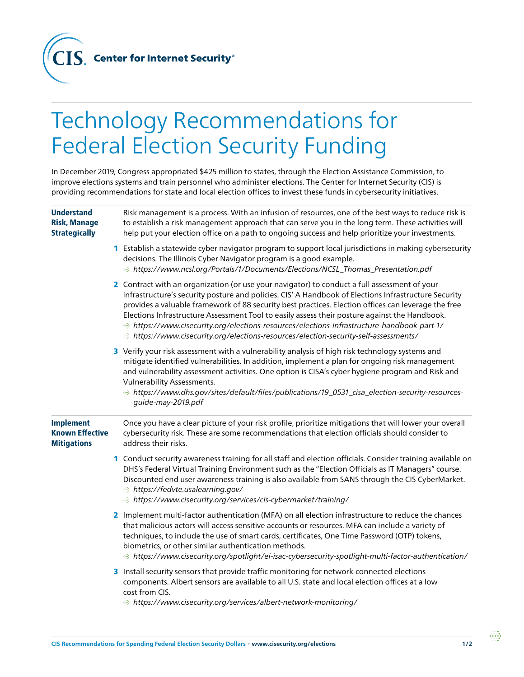**Center for Internet Security®** 

CIS.

## Technology Recommendations for Federal Election Security Funding

In December 2019, Congress appropriated \$425 million to states, through the Election Assistance Commission, to improve elections systems and train personnel who administer elections. The Center for Internet Security (CIS) is providing recommendations for state and local election offices to invest these funds in cybersecurity initiatives.

| <b>Understand</b><br><b>Risk, Manage</b><br><b>Strategically</b> | Risk management is a process. With an infusion of resources, one of the best ways to reduce risk is<br>to establish a risk management approach that can serve you in the long term. These activities will<br>help put your election office on a path to ongoing success and help prioritize your investments.                                                                                                                                                                                                                                                                                  |
|------------------------------------------------------------------|------------------------------------------------------------------------------------------------------------------------------------------------------------------------------------------------------------------------------------------------------------------------------------------------------------------------------------------------------------------------------------------------------------------------------------------------------------------------------------------------------------------------------------------------------------------------------------------------|
|                                                                  | 1 Establish a statewide cyber navigator program to support local jurisdictions in making cybersecurity<br>decisions. The Illinois Cyber Navigator program is a good example.<br>https://www.ncsl.org/Portals/1/Documents/Elections/NCSL_Thomas_Presentation.pdf                                                                                                                                                                                                                                                                                                                                |
|                                                                  | 2 Contract with an organization (or use your navigator) to conduct a full assessment of your<br>infrastructure's security posture and policies. CIS' A Handbook of Elections Infrastructure Security<br>provides a valuable framework of 88 security best practices. Election offices can leverage the free<br>Elections Infrastructure Assessment Tool to easily assess their posture against the Handbook.<br>https://www.cisecurity.org/elections-resources/elections-infrastructure-handbook-part-1/<br>https://www.cisecurity.org/elections-resources/election-security-self-assessments/ |
|                                                                  | 3 Verify your risk assessment with a vulnerability analysis of high risk technology systems and<br>mitigate identified vulnerabilities. In addition, implement a plan for ongoing risk management<br>and vulnerability assessment activities. One option is CISA's cyber hygiene program and Risk and<br><b>Vulnerability Assessments.</b><br>https://www.dhs.gov/sites/default/files/publications/19_0531_cisa_election-security-resources-<br>guide-may-2019.pdf                                                                                                                             |
| <b>Implement</b><br><b>Known Effective</b><br><b>Mitigations</b> | Once you have a clear picture of your risk profile, prioritize mitigations that will lower your overall<br>cybersecurity risk. These are some recommendations that election officials should consider to<br>address their risks.                                                                                                                                                                                                                                                                                                                                                               |
|                                                                  | 1 Conduct security awareness training for all staff and election officials. Consider training available on<br>DHS's Federal Virtual Training Environment such as the "Election Officials as IT Managers" course.<br>Discounted end user awareness training is also available from SANS through the CIS CyberMarket.<br>https://fedvte.usalearning.gov/<br>https://www.cisecurity.org/services/cis-cybermarket/training/                                                                                                                                                                        |
|                                                                  | 2 Implement multi-factor authentication (MFA) on all election infrastructure to reduce the chances<br>that malicious actors will access sensitive accounts or resources. MFA can include a variety of<br>techniques, to include the use of smart cards, certificates, One Time Password (OTP) tokens,<br>biometrics, or other similar authentication methods.<br>https://www.cisecurity.org/spotlight/ei-isac-cybersecurity-spotlight-multi-factor-authentication/                                                                                                                             |
|                                                                  | 3 Install security sensors that provide traffic monitoring for network-connected elections<br>components. Albert sensors are available to all U.S. state and local election offices at a low<br>cost from CIS.<br>https://www.cisecurity.org/services/albert-network-monitoring/                                                                                                                                                                                                                                                                                                               |

 $\cdots$